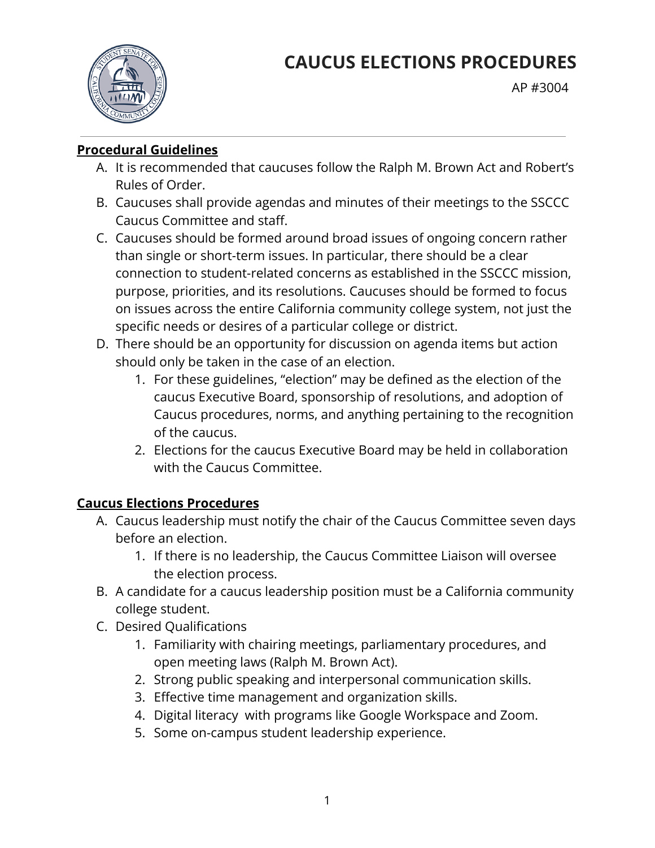

AP #3004

#### **Procedural Guidelines**

- A. It is recommended that caucuses follow the Ralph M. Brown Act and Robert's Rules of Order.
- B. Caucuses shall provide agendas and minutes of their meetings to the SSCCC Caucus Committee and staff.
- C. Caucuses should be formed around broad issues of ongoing concern rather than single or short-term issues. In particular, there should be a clear connection to student-related concerns as established in the SSCCC mission, purpose, priorities, and its resolutions. Caucuses should be formed to focus on issues across the entire California community college system, not just the specific needs or desires of a particular college or district.
- D. There should be an opportunity for discussion on agenda items but action should only be taken in the case of an election.
	- 1. For these guidelines, "election" may be defined as the election of the caucus Executive Board, sponsorship of resolutions, and adoption of Caucus procedures, norms, and anything pertaining to the recognition of the caucus.
	- 2. Elections for the caucus Executive Board may be held in collaboration with the Caucus Committee.

# **Caucus Elections Procedures**

- A. Caucus leadership must notify the chair of the Caucus Committee seven days before an election.
	- 1. If there is no leadership, the Caucus Committee Liaison will oversee the election process.
- B. A candidate for a caucus leadership position must be a California community college student.
- C. Desired Qualifications
	- 1. Familiarity with chairing meetings, parliamentary procedures, and open meeting laws (Ralph M. Brown Act).
	- 2. Strong public speaking and interpersonal communication skills.
	- 3. Effective time management and organization skills.
	- 4. Digital literacy with programs like Google Workspace and Zoom.
	- 5. Some on-campus student leadership experience.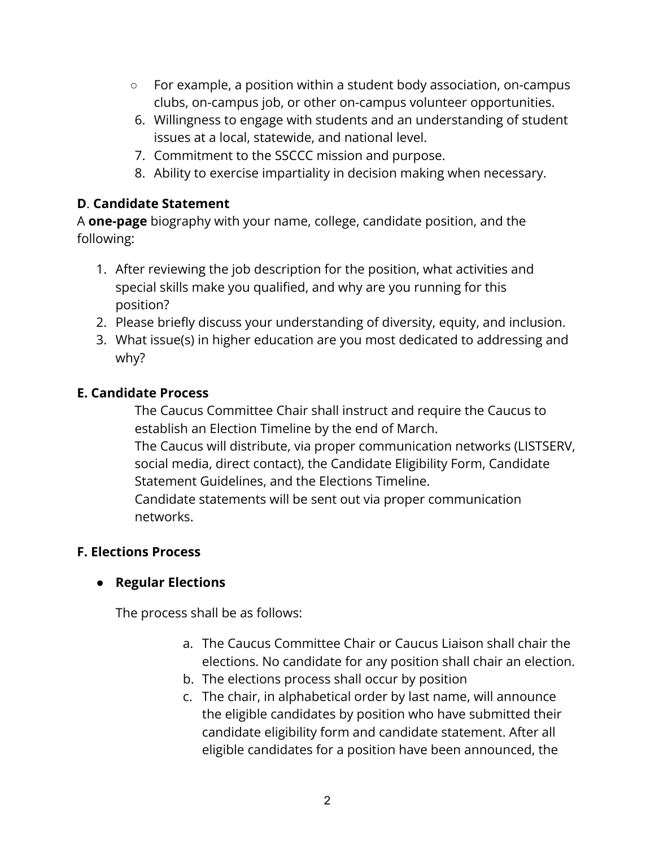- For example, a position within a student body association, on-campus clubs, on-campus job, or other on-campus volunteer opportunities.
- 6. Willingness to engage with students and an understanding of student issues at a local, statewide, and national level.
- 7. Commitment to the SSCCC mission and purpose.
- 8. Ability to exercise impartiality in decision making when necessary.

#### **D**. **Candidate Statement**

A **one-page** biography with your name, college, candidate position, and the following:

- 1. After reviewing the job description for the position, what activities and special skills make you qualified, and why are you running for this position?
- 2. Please briefly discuss your understanding of diversity, equity, and inclusion.
- 3. What issue(s) in higher education are you most dedicated to addressing and why?

#### **E. Candidate Process**

The Caucus Committee Chair shall instruct and require the Caucus to establish an Election Timeline by the end of March. The Caucus will distribute, via proper communication networks (LISTSERV, social media, direct contact), the Candidate Eligibility Form, Candidate Statement Guidelines, and the Elections Timeline. Candidate statements will be sent out via proper communication

networks.

# **F. Elections Process**

# **● Regular Elections**

The process shall be as follows:

- a. The Caucus Committee Chair or Caucus Liaison shall chair the elections. No candidate for any position shall chair an election.
- b. The elections process shall occur by position
- c. The chair, in alphabetical order by last name, will announce the eligible candidates by position who have submitted their candidate eligibility form and candidate statement. After all eligible candidates for a position have been announced, the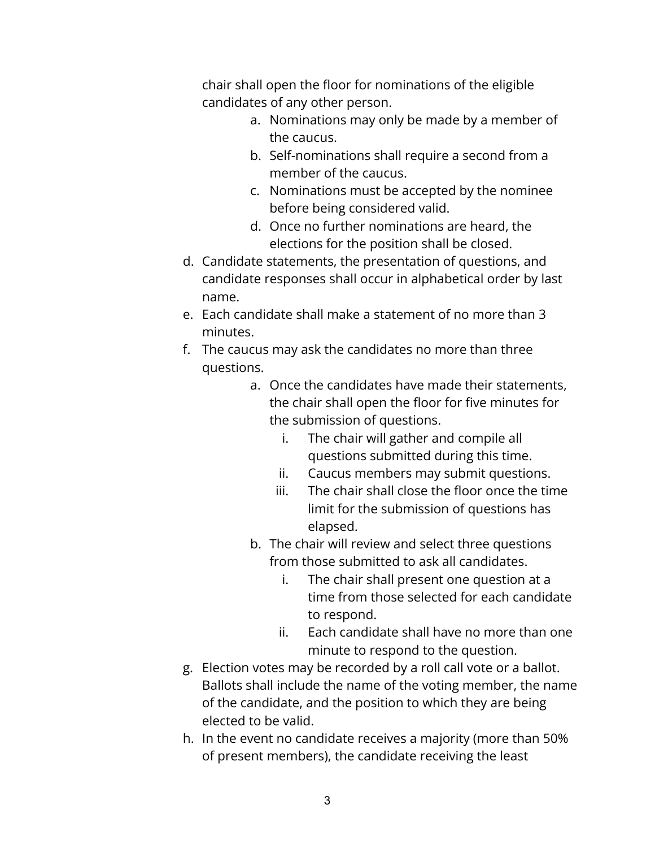chair shall open the floor for nominations of the eligible candidates of any other person.

- a. Nominations may only be made by a member of the caucus.
- b. Self-nominations shall require a second from a member of the caucus.
- c. Nominations must be accepted by the nominee before being considered valid.
- d. Once no further nominations are heard, the elections for the position shall be closed.
- d. Candidate statements, the presentation of questions, and candidate responses shall occur in alphabetical order by last name.
- e. Each candidate shall make a statement of no more than 3 minutes.
- f. The caucus may ask the candidates no more than three questions.
	- a. Once the candidates have made their statements, the chair shall open the floor for five minutes for the submission of questions.
		- i. The chair will gather and compile all questions submitted during this time.
		- ii. Caucus members may submit questions.
		- iii. The chair shall close the floor once the time limit for the submission of questions has elapsed.
	- b. The chair will review and select three questions from those submitted to ask all candidates.
		- i. The chair shall present one question at a time from those selected for each candidate to respond.
		- ii. Each candidate shall have no more than one minute to respond to the question.
- g. Election votes may be recorded by a roll call vote or a ballot. Ballots shall include the name of the voting member, the name of the candidate, and the position to which they are being elected to be valid.
- h. In the event no candidate receives a majority (more than 50% of present members), the candidate receiving the least